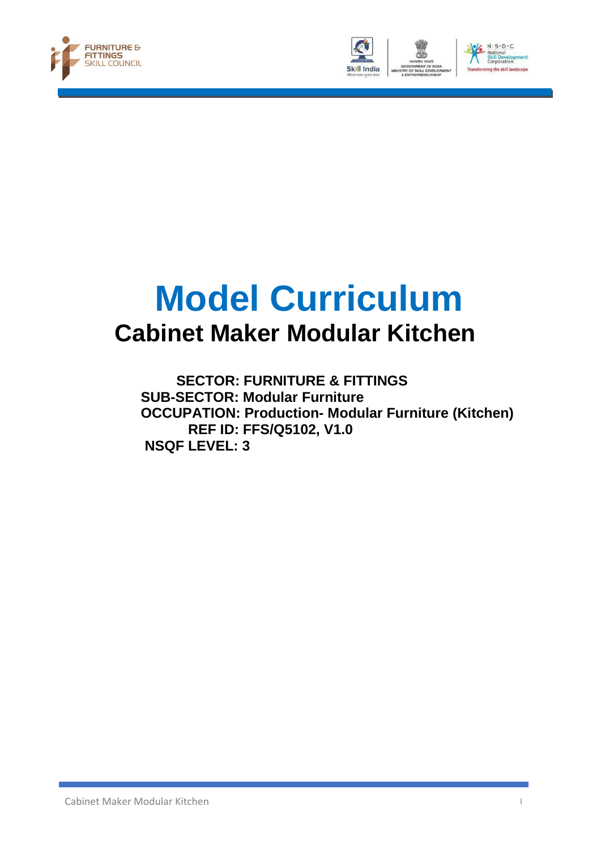





# **Model Curriculum Cabinet Maker Modular Kitchen**

 **SECTOR: FURNITURE & FITTINGS SUB-SECTOR: Modular Furniture OCCUPATION: Production- Modular Furniture (Kitchen) REF ID: FFS/Q5102, V1.0 NSQF LEVEL: 3**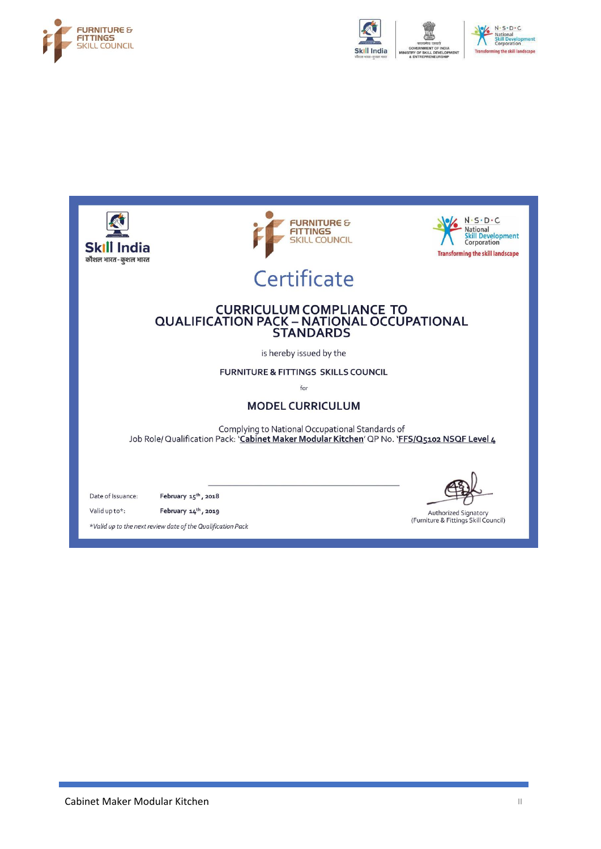



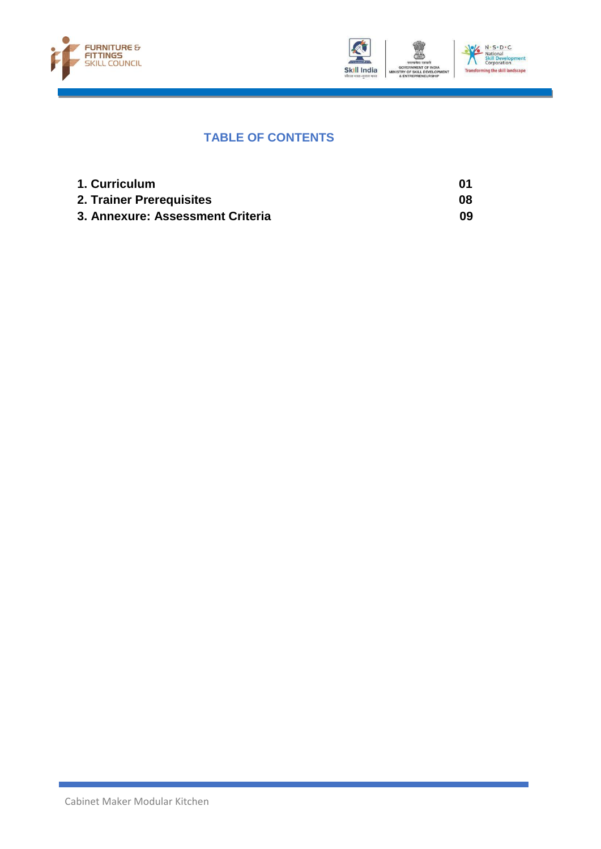



#### **TABLE OF CONTENTS**

| 1. Curriculum                    | 01 |
|----------------------------------|----|
| 2. Trainer Prerequisites         | 08 |
| 3. Annexure: Assessment Criteria | 09 |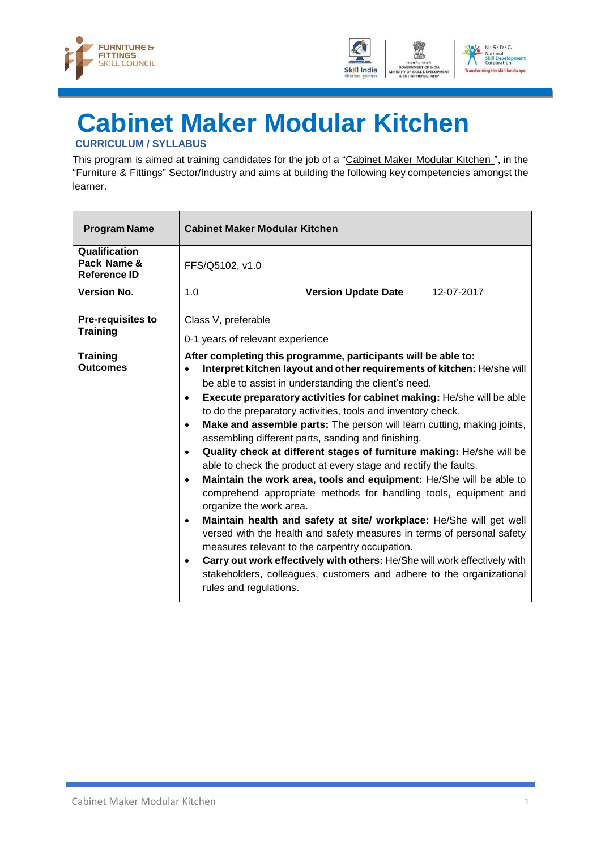



## <span id="page-4-0"></span>**Cabinet Maker Modular Kitchen**

#### **CURRICULUM / SYLLABUS**

This program is aimed at training candidates for the job of a "Cabinet Maker Modular Kitchen", in the "Furniture & Fittings" Sector/Industry and aims at building the following key competencies amongst the learner.

| <b>Program Name</b>                          | <b>Cabinet Maker Modular Kitchen</b>                                                                                                                                                                                                                                                                                                                                                                                                                                                                                                                                                                                                                                                                                                                                                                                                                                                                                                                                                                                                                                                                                                                                                                                                                                      |                            |            |
|----------------------------------------------|---------------------------------------------------------------------------------------------------------------------------------------------------------------------------------------------------------------------------------------------------------------------------------------------------------------------------------------------------------------------------------------------------------------------------------------------------------------------------------------------------------------------------------------------------------------------------------------------------------------------------------------------------------------------------------------------------------------------------------------------------------------------------------------------------------------------------------------------------------------------------------------------------------------------------------------------------------------------------------------------------------------------------------------------------------------------------------------------------------------------------------------------------------------------------------------------------------------------------------------------------------------------------|----------------------------|------------|
| Qualification<br>Pack Name &<br>Reference ID | FFS/Q5102, v1.0                                                                                                                                                                                                                                                                                                                                                                                                                                                                                                                                                                                                                                                                                                                                                                                                                                                                                                                                                                                                                                                                                                                                                                                                                                                           |                            |            |
| <b>Version No.</b>                           | 1.0                                                                                                                                                                                                                                                                                                                                                                                                                                                                                                                                                                                                                                                                                                                                                                                                                                                                                                                                                                                                                                                                                                                                                                                                                                                                       | <b>Version Update Date</b> | 12-07-2017 |
| <b>Pre-requisites to</b><br><b>Training</b>  | Class V, preferable                                                                                                                                                                                                                                                                                                                                                                                                                                                                                                                                                                                                                                                                                                                                                                                                                                                                                                                                                                                                                                                                                                                                                                                                                                                       |                            |            |
| <b>Training</b><br><b>Outcomes</b>           | 0-1 years of relevant experience<br>After completing this programme, participants will be able to:<br>Interpret kitchen layout and other requirements of kitchen: He/she will<br>be able to assist in understanding the client's need.<br>Execute preparatory activities for cabinet making: He/she will be able<br>$\bullet$<br>to do the preparatory activities, tools and inventory check.<br>Make and assemble parts: The person will learn cutting, making joints,<br>$\bullet$<br>assembling different parts, sanding and finishing.<br>Quality check at different stages of furniture making: He/she will be<br>$\bullet$<br>able to check the product at every stage and rectify the faults.<br>Maintain the work area, tools and equipment: He/She will be able to<br>$\bullet$<br>comprehend appropriate methods for handling tools, equipment and<br>organize the work area.<br>Maintain health and safety at site/ workplace: He/She will get well<br>$\bullet$<br>versed with the health and safety measures in terms of personal safety<br>measures relevant to the carpentry occupation.<br>Carry out work effectively with others: He/She will work effectively with<br>$\bullet$<br>stakeholders, colleagues, customers and adhere to the organizational |                            |            |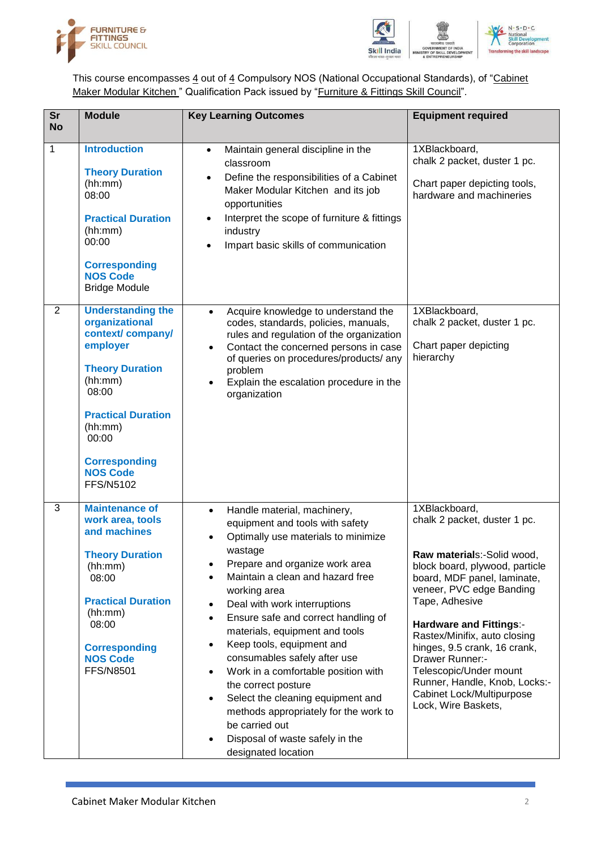



This course encompasses  $\underline{4}$  out of  $\underline{4}$  Compulsory NOS (National Occupational Standards), of "Cabinet Maker Modular Kitchen" Qualification Pack issued by "Furniture & Fittings Skill Council".

| <b>Sr</b><br><b>No</b> | <b>Module</b>                                                                                                                                                                                                                     | <b>Key Learning Outcomes</b>                                                                                                                                                                                                                                                                                                                                                                                                                                                                                                                                                                                                                                                                                 | <b>Equipment required</b>                                                                                                                                                                                                                                                                                                                                                                                                      |
|------------------------|-----------------------------------------------------------------------------------------------------------------------------------------------------------------------------------------------------------------------------------|--------------------------------------------------------------------------------------------------------------------------------------------------------------------------------------------------------------------------------------------------------------------------------------------------------------------------------------------------------------------------------------------------------------------------------------------------------------------------------------------------------------------------------------------------------------------------------------------------------------------------------------------------------------------------------------------------------------|--------------------------------------------------------------------------------------------------------------------------------------------------------------------------------------------------------------------------------------------------------------------------------------------------------------------------------------------------------------------------------------------------------------------------------|
| $\mathbf{1}$           | <b>Introduction</b><br><b>Theory Duration</b><br>(hh:mm)<br>08:00<br><b>Practical Duration</b><br>(hh:mm)<br>00:00<br><b>Corresponding</b><br><b>NOS Code</b><br><b>Bridge Module</b>                                             | Maintain general discipline in the<br>$\bullet$<br>classroom<br>Define the responsibilities of a Cabinet<br>Maker Modular Kitchen and its job<br>opportunities<br>Interpret the scope of furniture & fittings<br>industry<br>Impart basic skills of communication                                                                                                                                                                                                                                                                                                                                                                                                                                            | 1XBlackboard,<br>chalk 2 packet, duster 1 pc.<br>Chart paper depicting tools,<br>hardware and machineries                                                                                                                                                                                                                                                                                                                      |
| $\overline{2}$         | <b>Understanding the</b><br>organizational<br>context/company/<br>employer<br><b>Theory Duration</b><br>(hh:mm)<br>08:00<br><b>Practical Duration</b><br>(hh:mm)<br>00:00<br><b>Corresponding</b><br><b>NOS Code</b><br>FFS/N5102 | Acquire knowledge to understand the<br>$\bullet$<br>codes, standards, policies, manuals,<br>rules and regulation of the organization<br>Contact the concerned persons in case<br>$\bullet$<br>of queries on procedures/products/ any<br>problem<br>Explain the escalation procedure in the<br>$\bullet$<br>organization                                                                                                                                                                                                                                                                                                                                                                                      | 1XBlackboard,<br>chalk 2 packet, duster 1 pc.<br>Chart paper depicting<br>hierarchy                                                                                                                                                                                                                                                                                                                                            |
| 3                      | <b>Maintenance of</b><br>work area, tools<br>and machines<br><b>Theory Duration</b><br>(hh:mm)<br>08:00<br><b>Practical Duration</b><br>(hh:mm)<br>08:00<br><b>Corresponding</b><br><b>NOS Code</b><br><b>FFS/N8501</b>           | Handle material, machinery,<br>$\bullet$<br>equipment and tools with safety<br>Optimally use materials to minimize<br>$\bullet$<br>wastage<br>Prepare and organize work area<br>Maintain a clean and hazard free<br>working area<br>Deal with work interruptions<br>$\bullet$<br>Ensure safe and correct handling of<br>$\bullet$<br>materials, equipment and tools<br>Keep tools, equipment and<br>$\bullet$<br>consumables safely after use<br>Work in a comfortable position with<br>$\bullet$<br>the correct posture<br>Select the cleaning equipment and<br>$\bullet$<br>methods appropriately for the work to<br>be carried out<br>Disposal of waste safely in the<br>$\bullet$<br>designated location | 1XBlackboard,<br>chalk 2 packet, duster 1 pc.<br>Raw materials:-Solid wood,<br>block board, plywood, particle<br>board, MDF panel, laminate,<br>veneer, PVC edge Banding<br>Tape, Adhesive<br><b>Hardware and Fittings:-</b><br>Rastex/Minifix, auto closing<br>hinges, 9.5 crank, 16 crank,<br>Drawer Runner:-<br>Telescopic/Under mount<br>Runner, Handle, Knob, Locks:-<br>Cabinet Lock/Multipurpose<br>Lock, Wire Baskets, |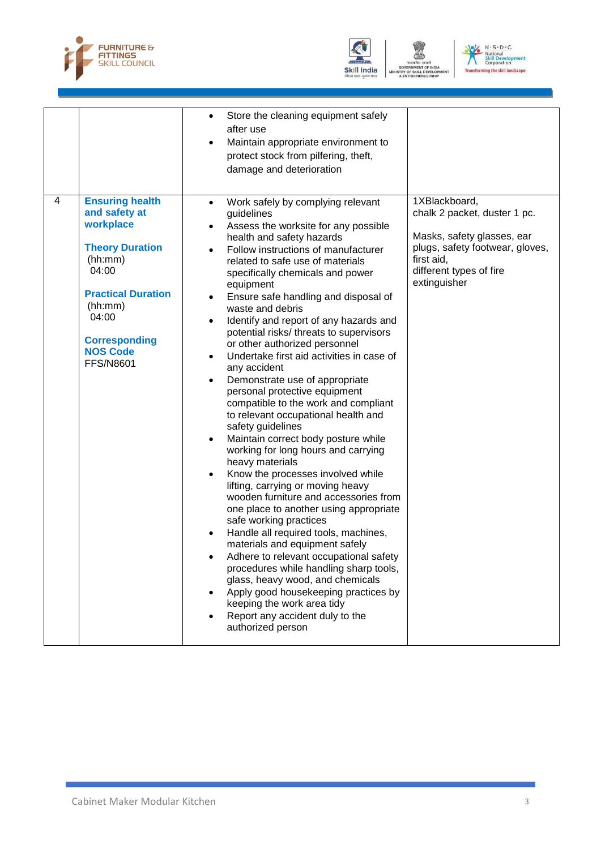



OF SKILL D VELO N - S - D - C<br>National<br>Skill Development<br>Transforming the skill landscape

|   |                                                                                                                                                                                                                    | Store the cleaning equipment safely<br>$\bullet$<br>after use<br>Maintain appropriate environment to<br>$\bullet$<br>protect stock from pilfering, theft,<br>damage and deterioration                                                                                                                                                                                                                                                                                                                                                                                                                                                                                                                                                                                                                                                                                                                                                                                                                                                                                                                                                                                                                                                                                                                                                                   |                                                                                                                                                                         |
|---|--------------------------------------------------------------------------------------------------------------------------------------------------------------------------------------------------------------------|---------------------------------------------------------------------------------------------------------------------------------------------------------------------------------------------------------------------------------------------------------------------------------------------------------------------------------------------------------------------------------------------------------------------------------------------------------------------------------------------------------------------------------------------------------------------------------------------------------------------------------------------------------------------------------------------------------------------------------------------------------------------------------------------------------------------------------------------------------------------------------------------------------------------------------------------------------------------------------------------------------------------------------------------------------------------------------------------------------------------------------------------------------------------------------------------------------------------------------------------------------------------------------------------------------------------------------------------------------|-------------------------------------------------------------------------------------------------------------------------------------------------------------------------|
| 4 | <b>Ensuring health</b><br>and safety at<br>workplace<br><b>Theory Duration</b><br>(hh:mm)<br>04:00<br><b>Practical Duration</b><br>(hh:mm)<br>04:00<br><b>Corresponding</b><br><b>NOS Code</b><br><b>FFS/N8601</b> | Work safely by complying relevant<br>$\bullet$<br>guidelines<br>Assess the worksite for any possible<br>$\bullet$<br>health and safety hazards<br>Follow instructions of manufacturer<br>$\bullet$<br>related to safe use of materials<br>specifically chemicals and power<br>equipment<br>Ensure safe handling and disposal of<br>waste and debris<br>Identify and report of any hazards and<br>٠<br>potential risks/ threats to supervisors<br>or other authorized personnel<br>Undertake first aid activities in case of<br>any accident<br>Demonstrate use of appropriate<br>personal protective equipment<br>compatible to the work and compliant<br>to relevant occupational health and<br>safety guidelines<br>Maintain correct body posture while<br>$\bullet$<br>working for long hours and carrying<br>heavy materials<br>Know the processes involved while<br>lifting, carrying or moving heavy<br>wooden furniture and accessories from<br>one place to another using appropriate<br>safe working practices<br>Handle all required tools, machines,<br>materials and equipment safely<br>Adhere to relevant occupational safety<br>procedures while handling sharp tools,<br>glass, heavy wood, and chemicals<br>Apply good housekeeping practices by<br>keeping the work area tidy<br>Report any accident duly to the<br>authorized person | 1XBlackboard,<br>chalk 2 packet, duster 1 pc.<br>Masks, safety glasses, ear<br>plugs, safety footwear, gloves,<br>first aid,<br>different types of fire<br>extinguisher |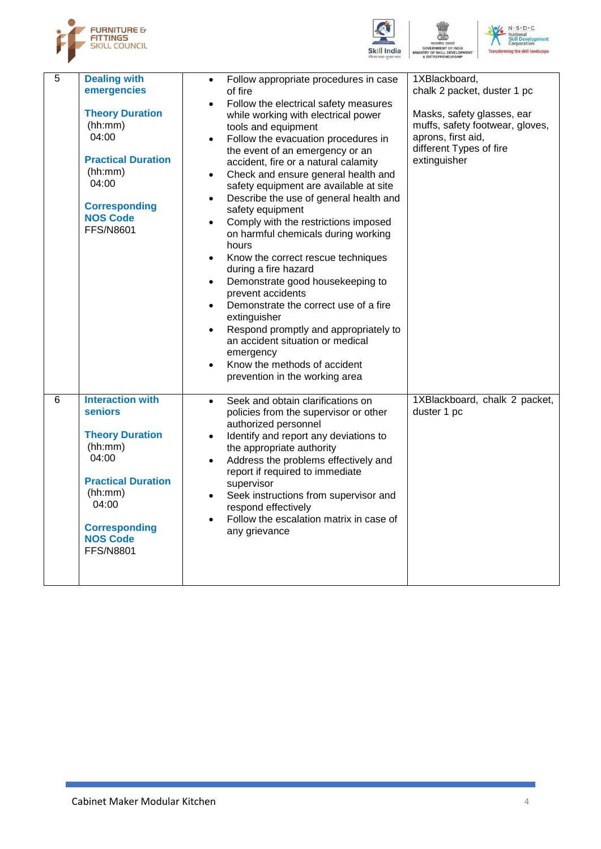





:NT

| $\overline{5}$ | <b>Dealing with</b><br>emergencies<br><b>Theory Duration</b><br>(hh:mm)<br>04:00<br><b>Practical Duration</b><br>(hh:mm)<br>04:00<br><b>Corresponding</b><br><b>NOS Code</b><br><b>FFS/N8601</b>        | Follow appropriate procedures in case<br>$\bullet$<br>of fire<br>Follow the electrical safety measures<br>while working with electrical power<br>tools and equipment<br>Follow the evacuation procedures in<br>the event of an emergency or an<br>accident, fire or a natural calamity<br>Check and ensure general health and<br>safety equipment are available at site<br>Describe the use of general health and<br>$\bullet$<br>safety equipment<br>Comply with the restrictions imposed<br>$\bullet$<br>on harmful chemicals during working<br>hours<br>Know the correct rescue techniques<br>$\bullet$<br>during a fire hazard<br>Demonstrate good housekeeping to<br>$\bullet$<br>prevent accidents<br>Demonstrate the correct use of a fire<br>$\bullet$<br>extinguisher<br>Respond promptly and appropriately to<br>$\bullet$<br>an accident situation or medical<br>emergency<br>Know the methods of accident<br>$\bullet$<br>prevention in the working area | 1XBlackboard,<br>chalk 2 packet, duster 1 pc<br>Masks, safety glasses, ear<br>muffs, safety footwear, gloves,<br>aprons, first aid,<br>different Types of fire<br>extinguisher |
|----------------|---------------------------------------------------------------------------------------------------------------------------------------------------------------------------------------------------------|----------------------------------------------------------------------------------------------------------------------------------------------------------------------------------------------------------------------------------------------------------------------------------------------------------------------------------------------------------------------------------------------------------------------------------------------------------------------------------------------------------------------------------------------------------------------------------------------------------------------------------------------------------------------------------------------------------------------------------------------------------------------------------------------------------------------------------------------------------------------------------------------------------------------------------------------------------------------|--------------------------------------------------------------------------------------------------------------------------------------------------------------------------------|
| $\overline{6}$ | <b>Interaction with</b><br><b>seniors</b><br><b>Theory Duration</b><br>(hh:mm)<br>04:00<br><b>Practical Duration</b><br>(hh:mm)<br>04:00<br><b>Corresponding</b><br><b>NOS Code</b><br><b>FFS/N8801</b> | Seek and obtain clarifications on<br>$\bullet$<br>policies from the supervisor or other<br>authorized personnel<br>Identify and report any deviations to<br>$\bullet$<br>the appropriate authority<br>Address the problems effectively and<br>$\bullet$<br>report if required to immediate<br>supervisor<br>Seek instructions from supervisor and<br>$\bullet$<br>respond effectively<br>Follow the escalation matrix in case of<br>any grievance                                                                                                                                                                                                                                                                                                                                                                                                                                                                                                                    | 1XBlackboard, chalk 2 packet,<br>duster 1 pc                                                                                                                                   |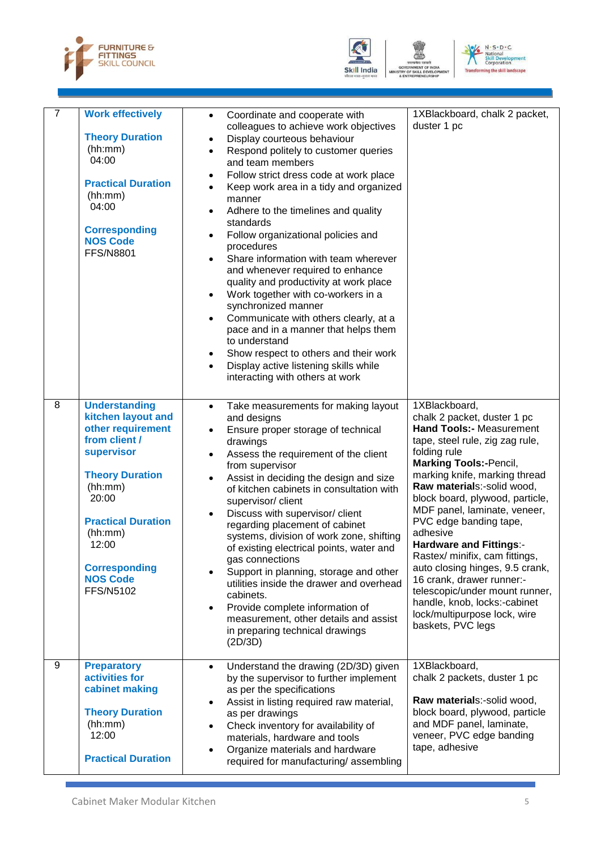



VELO



| $\overline{7}$ | <b>Work effectively</b><br><b>Theory Duration</b><br>(hh:mm)<br>04:00<br><b>Practical Duration</b><br>(hh:mm)<br>04:00<br><b>Corresponding</b><br><b>NOS Code</b><br><b>FFS/N8801</b>                                                                 | Coordinate and cooperate with<br>$\bullet$<br>colleagues to achieve work objectives<br>Display courteous behaviour<br>$\bullet$<br>Respond politely to customer queries<br>$\bullet$<br>and team members<br>Follow strict dress code at work place<br>$\bullet$<br>Keep work area in a tidy and organized<br>$\bullet$<br>manner<br>Adhere to the timelines and quality<br>٠<br>standards<br>Follow organizational policies and<br>$\bullet$<br>procedures<br>Share information with team wherever<br>$\bullet$<br>and whenever required to enhance<br>quality and productivity at work place<br>Work together with co-workers in a<br>$\bullet$<br>synchronized manner<br>Communicate with others clearly, at a<br>$\bullet$<br>pace and in a manner that helps them<br>to understand<br>Show respect to others and their work<br>$\bullet$<br>Display active listening skills while<br>$\bullet$<br>interacting with others at work | 1XBlackboard, chalk 2 packet,<br>duster 1 pc                                                                                                                                                                                                                                                                                                                                                                                                                                                                                                                                                           |
|----------------|-------------------------------------------------------------------------------------------------------------------------------------------------------------------------------------------------------------------------------------------------------|---------------------------------------------------------------------------------------------------------------------------------------------------------------------------------------------------------------------------------------------------------------------------------------------------------------------------------------------------------------------------------------------------------------------------------------------------------------------------------------------------------------------------------------------------------------------------------------------------------------------------------------------------------------------------------------------------------------------------------------------------------------------------------------------------------------------------------------------------------------------------------------------------------------------------------------|--------------------------------------------------------------------------------------------------------------------------------------------------------------------------------------------------------------------------------------------------------------------------------------------------------------------------------------------------------------------------------------------------------------------------------------------------------------------------------------------------------------------------------------------------------------------------------------------------------|
| 8              | <b>Understanding</b><br>kitchen layout and<br>other requirement<br>from client /<br>supervisor<br><b>Theory Duration</b><br>(hh:mm)<br>20:00<br><b>Practical Duration</b><br>(hh:mm)<br>12:00<br><b>Corresponding</b><br><b>NOS Code</b><br>FFS/N5102 | Take measurements for making layout<br>$\bullet$<br>and designs<br>Ensure proper storage of technical<br>$\bullet$<br>drawings<br>Assess the requirement of the client<br>$\bullet$<br>from supervisor<br>Assist in deciding the design and size<br>$\bullet$<br>of kitchen cabinets in consultation with<br>supervisor/ client<br>Discuss with supervisor/ client<br>$\bullet$<br>regarding placement of cabinet<br>systems, division of work zone, shifting<br>of existing electrical points, water and<br>gas connections<br>Support in planning, storage and other<br>utilities inside the drawer and overhead<br>cabinets.<br>Provide complete information of<br>$\bullet$<br>measurement, other details and assist<br>in preparing technical drawings<br>(2D/3D)                                                                                                                                                                | 1XBlackboard,<br>chalk 2 packet, duster 1 pc<br><b>Hand Tools:- Measurement</b><br>tape, steel rule, zig zag rule,<br>folding rule<br><b>Marking Tools:-Pencil,</b><br>marking knife, marking thread<br>Raw materials:-solid wood,<br>block board, plywood, particle,<br>MDF panel, laminate, veneer,<br>PVC edge banding tape,<br>adhesive<br><b>Hardware and Fittings:-</b><br>Rastex/ minifix, cam fittings,<br>auto closing hinges, 9.5 crank,<br>16 crank, drawer runner:-<br>telescopic/under mount runner,<br>handle, knob, locks:-cabinet<br>lock/multipurpose lock, wire<br>baskets, PVC legs |
| 9              | <b>Preparatory</b><br>activities for<br>cabinet making<br><b>Theory Duration</b><br>(hh:mm)<br>12:00<br><b>Practical Duration</b>                                                                                                                     | Understand the drawing (2D/3D) given<br>$\bullet$<br>by the supervisor to further implement<br>as per the specifications<br>Assist in listing required raw material,<br>$\bullet$<br>as per drawings<br>Check inventory for availability of<br>$\bullet$<br>materials, hardware and tools<br>Organize materials and hardware<br>٠<br>required for manufacturing/assembling                                                                                                                                                                                                                                                                                                                                                                                                                                                                                                                                                            | 1XBlackboard,<br>chalk 2 packets, duster 1 pc<br>Raw materials:-solid wood,<br>block board, plywood, particle<br>and MDF panel, laminate,<br>veneer, PVC edge banding<br>tape, adhesive                                                                                                                                                                                                                                                                                                                                                                                                                |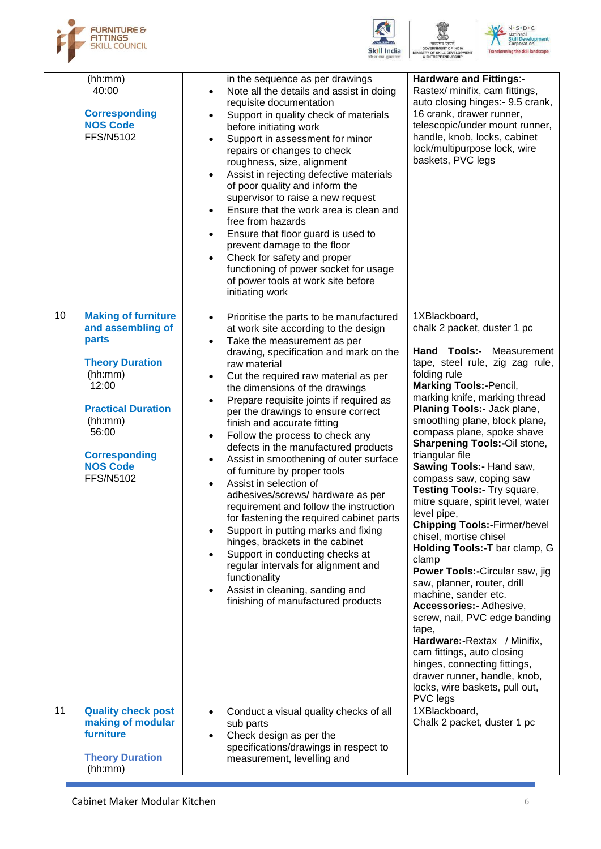





:NT

|    | (hh:mm)<br>40:00<br><b>Corresponding</b><br><b>NOS Code</b><br>FFS/N5102                                                                                                                                        | in the sequence as per drawings<br>Note all the details and assist in doing<br>$\bullet$<br>requisite documentation<br>Support in quality check of materials<br>before initiating work<br>Support in assessment for minor<br>repairs or changes to check<br>roughness, size, alignment<br>Assist in rejecting defective materials<br>of poor quality and inform the<br>supervisor to raise a new request<br>Ensure that the work area is clean and<br>$\bullet$<br>free from hazards<br>Ensure that floor guard is used to<br>$\bullet$<br>prevent damage to the floor<br>Check for safety and proper<br>$\bullet$<br>functioning of power socket for usage<br>of power tools at work site before<br>initiating work                                                                                                                                                                                                                                                                        | <b>Hardware and Fittings:-</b><br>Rastex/ minifix, cam fittings,<br>auto closing hinges:- 9.5 crank,<br>16 crank, drawer runner,<br>telescopic/under mount runner,<br>handle, knob, locks, cabinet<br>lock/multipurpose lock, wire<br>baskets, PVC legs                                                                                                                                                                                                                                                                                                                                                                                                                                                                                                                                                                                                                                                                                             |
|----|-----------------------------------------------------------------------------------------------------------------------------------------------------------------------------------------------------------------|---------------------------------------------------------------------------------------------------------------------------------------------------------------------------------------------------------------------------------------------------------------------------------------------------------------------------------------------------------------------------------------------------------------------------------------------------------------------------------------------------------------------------------------------------------------------------------------------------------------------------------------------------------------------------------------------------------------------------------------------------------------------------------------------------------------------------------------------------------------------------------------------------------------------------------------------------------------------------------------------|-----------------------------------------------------------------------------------------------------------------------------------------------------------------------------------------------------------------------------------------------------------------------------------------------------------------------------------------------------------------------------------------------------------------------------------------------------------------------------------------------------------------------------------------------------------------------------------------------------------------------------------------------------------------------------------------------------------------------------------------------------------------------------------------------------------------------------------------------------------------------------------------------------------------------------------------------------|
| 10 | <b>Making of furniture</b><br>and assembling of<br>parts<br><b>Theory Duration</b><br>(hh:mm)<br>12:00<br><b>Practical Duration</b><br>(hh:mm)<br>56:00<br><b>Corresponding</b><br><b>NOS Code</b><br>FFS/N5102 | Prioritise the parts to be manufactured<br>$\bullet$<br>at work site according to the design<br>Take the measurement as per<br>$\bullet$<br>drawing, specification and mark on the<br>raw material<br>Cut the required raw material as per<br>$\bullet$<br>the dimensions of the drawings<br>Prepare requisite joints if required as<br>$\bullet$<br>per the drawings to ensure correct<br>finish and accurate fitting<br>Follow the process to check any<br>defects in the manufactured products<br>Assist in smoothening of outer surface<br>$\bullet$<br>of furniture by proper tools<br>Assist in selection of<br>adhesives/screws/ hardware as per<br>requirement and follow the instruction<br>for fastening the required cabinet parts<br>Support in putting marks and fixing<br>hinges, brackets in the cabinet<br>Support in conducting checks at<br>regular intervals for alignment and<br>functionality<br>Assist in cleaning, sanding and<br>finishing of manufactured products | 1XBlackboard,<br>chalk 2 packet, duster 1 pc<br>Hand Tools:- Measurement<br>tape, steel rule, zig zag rule,<br>folding rule<br><b>Marking Tools:-Pencil,</b><br>marking knife, marking thread<br>Planing Tools:- Jack plane,<br>smoothing plane, block plane,<br>compass plane, spoke shave<br><b>Sharpening Tools:-Oil stone,</b><br>triangular file<br>Sawing Tools:- Hand saw,<br>compass saw, coping saw<br>Testing Tools:- Try square,<br>mitre square, spirit level, water<br>level pipe,<br><b>Chipping Tools:-Firmer/bevel</b><br>chisel, mortise chisel<br>Holding Tools:-T bar clamp, G<br>clamp<br>Power Tools:-Circular saw, jig<br>saw, planner, router, drill<br>machine, sander etc.<br>Accessories:- Adhesive,<br>screw, nail, PVC edge banding<br>tape,<br>Hardware:-Rextax / Minifix,<br>cam fittings, auto closing<br>hinges, connecting fittings,<br>drawer runner, handle, knob,<br>locks, wire baskets, pull out,<br>PVC legs |
| 11 | <b>Quality check post</b><br>making of modular<br>furniture<br><b>Theory Duration</b><br>(hh:mm)                                                                                                                | Conduct a visual quality checks of all<br>sub parts<br>Check design as per the<br>specifications/drawings in respect to<br>measurement, levelling and                                                                                                                                                                                                                                                                                                                                                                                                                                                                                                                                                                                                                                                                                                                                                                                                                                       | 1XBlackboard,<br>Chalk 2 packet, duster 1 pc                                                                                                                                                                                                                                                                                                                                                                                                                                                                                                                                                                                                                                                                                                                                                                                                                                                                                                        |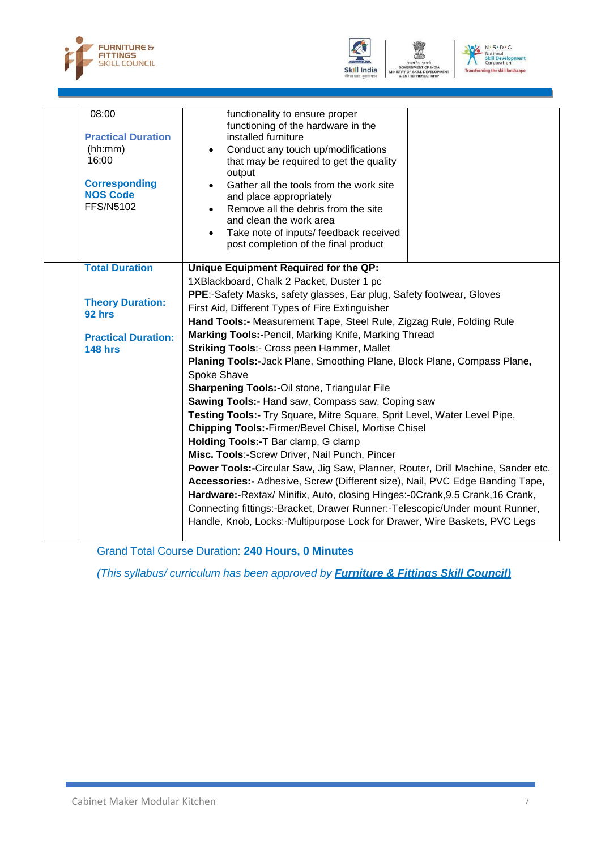





|  | 08:00<br><b>Practical Duration</b><br>(hh:mm)<br>16:00<br><b>Corresponding</b><br><b>NOS Code</b><br><b>FFS/N5102</b> | functionality to ensure proper<br>functioning of the hardware in the<br>installed furniture<br>Conduct any touch up/modifications<br>that may be required to get the quality<br>output<br>Gather all the tools from the work site<br>and place appropriately<br>Remove all the debris from the site<br>$\bullet$<br>and clean the work area<br>Take note of inputs/ feedback received<br>$\bullet$<br>post completion of the final product |  |  |
|--|-----------------------------------------------------------------------------------------------------------------------|--------------------------------------------------------------------------------------------------------------------------------------------------------------------------------------------------------------------------------------------------------------------------------------------------------------------------------------------------------------------------------------------------------------------------------------------|--|--|
|  | <b>Total Duration</b>                                                                                                 | Unique Equipment Required for the QP:                                                                                                                                                                                                                                                                                                                                                                                                      |  |  |
|  |                                                                                                                       | 1XBlackboard, Chalk 2 Packet, Duster 1 pc                                                                                                                                                                                                                                                                                                                                                                                                  |  |  |
|  | <b>Theory Duration:</b>                                                                                               | PPE:-Safety Masks, safety glasses, Ear plug, Safety footwear, Gloves                                                                                                                                                                                                                                                                                                                                                                       |  |  |
|  |                                                                                                                       | First Aid, Different Types of Fire Extinguisher                                                                                                                                                                                                                                                                                                                                                                                            |  |  |
|  | 92 hrs                                                                                                                | Hand Tools:- Measurement Tape, Steel Rule, Zigzag Rule, Folding Rule                                                                                                                                                                                                                                                                                                                                                                       |  |  |
|  | <b>Practical Duration:</b><br><b>148 hrs</b>                                                                          | Marking Tools:-Pencil, Marking Knife, Marking Thread                                                                                                                                                                                                                                                                                                                                                                                       |  |  |
|  |                                                                                                                       | <b>Striking Tools:- Cross peen Hammer, Mallet</b>                                                                                                                                                                                                                                                                                                                                                                                          |  |  |
|  |                                                                                                                       | Planing Tools:-Jack Plane, Smoothing Plane, Block Plane, Compass Plane,                                                                                                                                                                                                                                                                                                                                                                    |  |  |
|  |                                                                                                                       | Spoke Shave                                                                                                                                                                                                                                                                                                                                                                                                                                |  |  |
|  |                                                                                                                       | <b>Sharpening Tools:-Oil stone, Triangular File</b>                                                                                                                                                                                                                                                                                                                                                                                        |  |  |
|  |                                                                                                                       | Sawing Tools:- Hand saw, Compass saw, Coping saw                                                                                                                                                                                                                                                                                                                                                                                           |  |  |
|  |                                                                                                                       | Testing Tools:- Try Square, Mitre Square, Sprit Level, Water Level Pipe,                                                                                                                                                                                                                                                                                                                                                                   |  |  |
|  |                                                                                                                       | Chipping Tools:-Firmer/Bevel Chisel, Mortise Chisel                                                                                                                                                                                                                                                                                                                                                                                        |  |  |
|  |                                                                                                                       | Holding Tools:-T Bar clamp, G clamp                                                                                                                                                                                                                                                                                                                                                                                                        |  |  |
|  |                                                                                                                       | Misc. Tools:-Screw Driver, Nail Punch, Pincer                                                                                                                                                                                                                                                                                                                                                                                              |  |  |
|  |                                                                                                                       | Power Tools:-Circular Saw, Jig Saw, Planner, Router, Drill Machine, Sander etc.                                                                                                                                                                                                                                                                                                                                                            |  |  |
|  |                                                                                                                       | Accessories:- Adhesive, Screw (Different size), Nail, PVC Edge Banding Tape,                                                                                                                                                                                                                                                                                                                                                               |  |  |
|  |                                                                                                                       | Hardware:-Rextax/ Minifix, Auto, closing Hinges:-0Crank, 9.5 Crank, 16 Crank,                                                                                                                                                                                                                                                                                                                                                              |  |  |
|  |                                                                                                                       | Connecting fittings:-Bracket, Drawer Runner:-Telescopic/Under mount Runner,                                                                                                                                                                                                                                                                                                                                                                |  |  |
|  |                                                                                                                       | Handle, Knob, Locks:-Multipurpose Lock for Drawer, Wire Baskets, PVC Legs                                                                                                                                                                                                                                                                                                                                                                  |  |  |
|  |                                                                                                                       |                                                                                                                                                                                                                                                                                                                                                                                                                                            |  |  |

Grand Total Course Duration: **240 Hours, 0 Minutes**

*(This syllabus/ curriculum has been approved by Furniture & Fittings Skill Council)*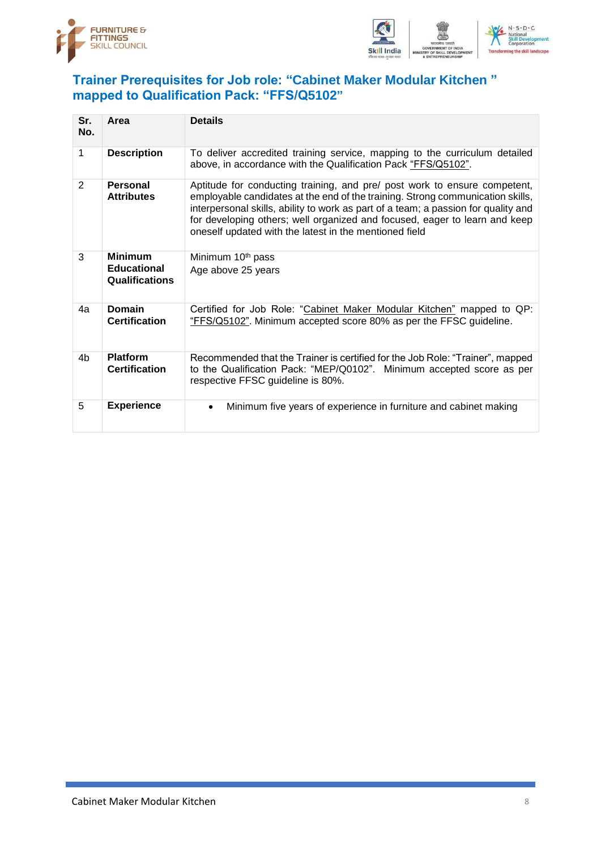



#### <span id="page-11-0"></span>**Trainer Prerequisites for Job role: "Cabinet Maker Modular Kitchen " mapped to Qualification Pack: "FFS/Q5102"**

| Sr.<br>No.     | Area                                                          | <b>Details</b>                                                                                                                                                                                                                                                                                                                                                                            |
|----------------|---------------------------------------------------------------|-------------------------------------------------------------------------------------------------------------------------------------------------------------------------------------------------------------------------------------------------------------------------------------------------------------------------------------------------------------------------------------------|
| 1              | <b>Description</b>                                            | To deliver accredited training service, mapping to the curriculum detailed<br>above, in accordance with the Qualification Pack "FFS/Q5102".                                                                                                                                                                                                                                               |
| $\overline{2}$ | Personal<br><b>Attributes</b>                                 | Aptitude for conducting training, and pre/ post work to ensure competent,<br>employable candidates at the end of the training. Strong communication skills,<br>interpersonal skills, ability to work as part of a team; a passion for quality and<br>for developing others; well organized and focused, eager to learn and keep<br>oneself updated with the latest in the mentioned field |
| 3              | <b>Minimum</b><br><b>Educational</b><br><b>Qualifications</b> | Minimum 10 <sup>th</sup> pass<br>Age above 25 years                                                                                                                                                                                                                                                                                                                                       |
| 4a             | <b>Domain</b><br><b>Certification</b>                         | Certified for Job Role: "Cabinet Maker Modular Kitchen" mapped to QP:<br>"FFS/Q5102". Minimum accepted score 80% as per the FFSC guideline.                                                                                                                                                                                                                                               |
| 4b             | <b>Platform</b><br><b>Certification</b>                       | Recommended that the Trainer is certified for the Job Role: "Trainer", mapped<br>to the Qualification Pack: "MEP/Q0102". Minimum accepted score as per<br>respective FFSC guideline is 80%.                                                                                                                                                                                               |
| 5              | <b>Experience</b>                                             | Minimum five years of experience in furniture and cabinet making<br>$\bullet$                                                                                                                                                                                                                                                                                                             |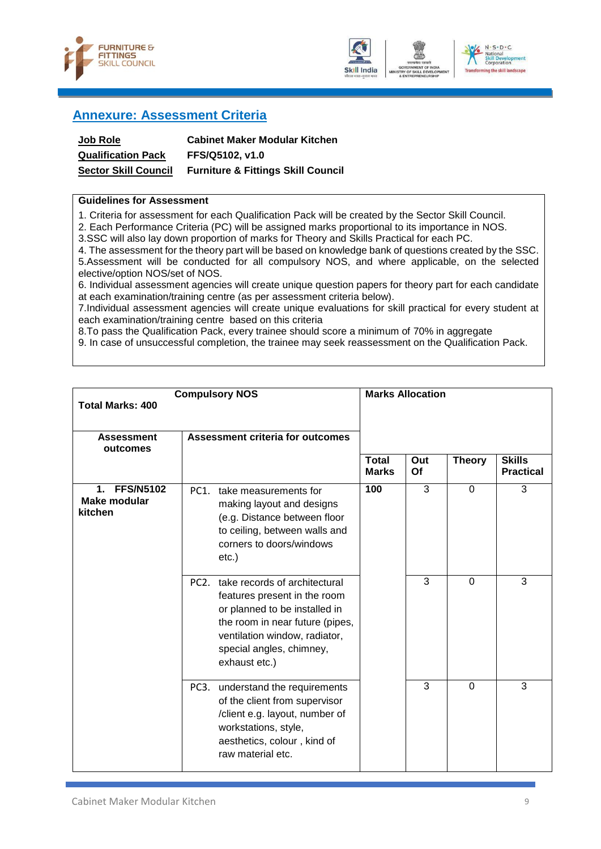



### the ckill landscane

### <span id="page-12-0"></span>**Annexure: Assessment Criteria**

| <b>Job Role</b>             | <b>Cabinet Maker Modular Kitchen</b>          |
|-----------------------------|-----------------------------------------------|
| <b>Qualification Pack</b>   | FFS/Q5102. v1.0                               |
| <b>Sector Skill Council</b> | <b>Furniture &amp; Fittings Skill Council</b> |

#### **Guidelines for Assessment**

1. Criteria for assessment for each Qualification Pack will be created by the Sector Skill Council.

2. Each Performance Criteria (PC) will be assigned marks proportional to its importance in NOS.

3.SSC will also lay down proportion of marks for Theory and Skills Practical for each PC.

4. The assessment for the theory part will be based on knowledge bank of questions created by the SSC. 5.Assessment will be conducted for all compulsory NOS, and where applicable, on the selected elective/option NOS/set of NOS.

6. Individual assessment agencies will create unique question papers for theory part for each candidate at each examination/training centre (as per assessment criteria below).

7.Individual assessment agencies will create unique evaluations for skill practical for every student at each examination/training centre based on this criteria

8.To pass the Qualification Pack, every trainee should score a minimum of 70% in aggregate

9. In case of unsuccessful completion, the trainee may seek reassessment on the Qualification Pack.

| <b>Compulsory NOS</b><br><b>Total Marks: 400</b>             |                                                                                                                                                                                                                                    |                              | <b>Marks Allocation</b> |               |                                   |
|--------------------------------------------------------------|------------------------------------------------------------------------------------------------------------------------------------------------------------------------------------------------------------------------------------|------------------------------|-------------------------|---------------|-----------------------------------|
| <b>Assessment</b><br>outcomes                                | <b>Assessment criteria for outcomes</b>                                                                                                                                                                                            |                              |                         |               |                                   |
|                                                              |                                                                                                                                                                                                                                    | <b>Total</b><br><b>Marks</b> | Out<br>Of               | <b>Theory</b> | <b>Skills</b><br><b>Practical</b> |
| <b>FFS/N5102</b><br>$\mathbf 1$ .<br>Make modular<br>kitchen | PC1.<br>take measurements for<br>making layout and designs<br>(e.g. Distance between floor<br>to ceiling, between walls and<br>corners to doors/windows<br>etc.)                                                                   | 100                          | 3                       | $\mathbf 0$   | 3                                 |
|                                                              | take records of architectural<br>PC <sub>2</sub><br>features present in the room<br>or planned to be installed in<br>the room in near future (pipes,<br>ventilation window, radiator,<br>special angles, chimney,<br>exhaust etc.) |                              | 3                       | $\mathbf 0$   | 3                                 |
|                                                              | PC <sub>3</sub> .<br>understand the requirements<br>of the client from supervisor<br>/client e.g. layout, number of<br>workstations, style,<br>aesthetics, colour, kind of<br>raw material etc.                                    |                              | 3                       | $\Omega$      | 3                                 |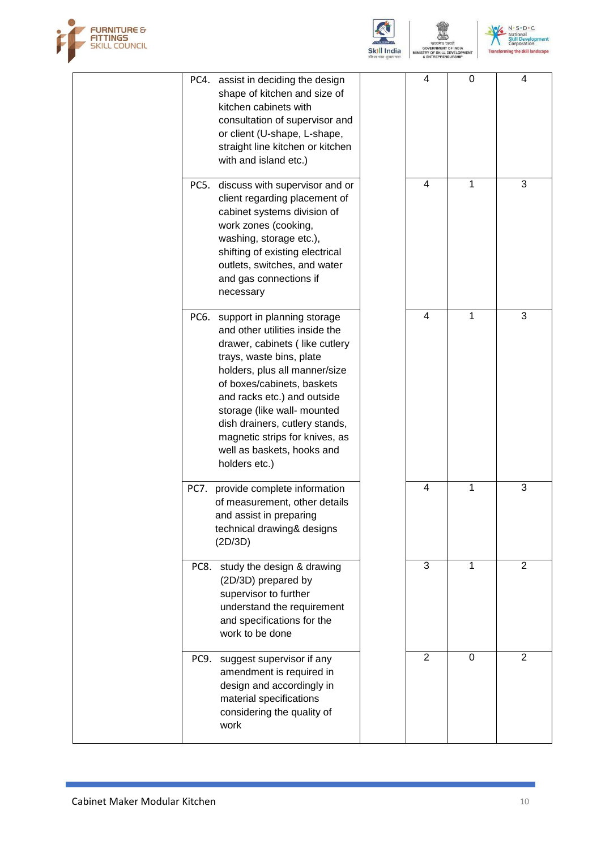



N . S . D . C<br>National<br>Skill Development<br>Transforming the skill landscape

**NT** 

|      | PC4. assist in deciding the design<br>shape of kitchen and size of<br>kitchen cabinets with<br>consultation of supervisor and<br>or client (U-shape, L-shape,<br>straight line kitchen or kitchen<br>with and island etc.)                                                                                                                                                       | 4              | 0           | 4              |
|------|----------------------------------------------------------------------------------------------------------------------------------------------------------------------------------------------------------------------------------------------------------------------------------------------------------------------------------------------------------------------------------|----------------|-------------|----------------|
| PC5. | discuss with supervisor and or<br>client regarding placement of<br>cabinet systems division of<br>work zones (cooking,<br>washing, storage etc.),<br>shifting of existing electrical<br>outlets, switches, and water<br>and gas connections if<br>necessary                                                                                                                      | 4              | 1           | 3              |
|      | PC6. support in planning storage<br>and other utilities inside the<br>drawer, cabinets (like cutlery<br>trays, waste bins, plate<br>holders, plus all manner/size<br>of boxes/cabinets, baskets<br>and racks etc.) and outside<br>storage (like wall- mounted<br>dish drainers, cutlery stands,<br>magnetic strips for knives, as<br>well as baskets, hooks and<br>holders etc.) | 4              | 1           | 3              |
|      | PC7. provide complete information<br>of measurement, other details<br>and assist in preparing<br>technical drawing& designs<br>(2D/3D)                                                                                                                                                                                                                                           | 4              | 1           | 3              |
| PC8. | study the design & drawing<br>(2D/3D) prepared by<br>supervisor to further<br>understand the requirement<br>and specifications for the<br>work to be done                                                                                                                                                                                                                        | 3              | 1           | 2              |
|      | PC9. suggest supervisor if any<br>amendment is required in<br>design and accordingly in<br>material specifications<br>considering the quality of<br>work                                                                                                                                                                                                                         | $\overline{2}$ | $\mathbf 0$ | $\overline{2}$ |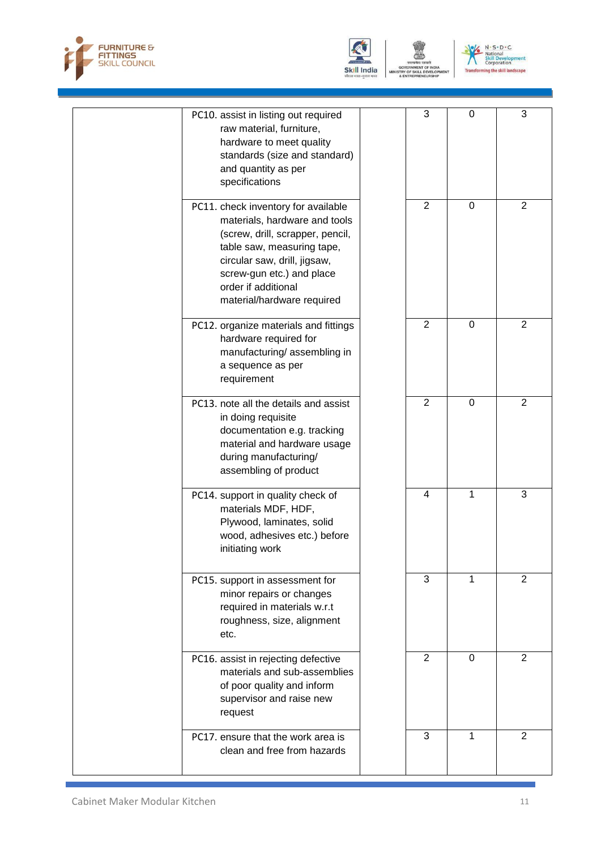



GOVERNMENT (<br>TRY OF SKILL D<br>& ENTREPRENE



| PC10. assist in listing out required<br>raw material, furniture,<br>hardware to meet quality<br>standards (size and standard)<br>and quantity as per<br>specifications                                                                                   | 3              | 0              | 3              |
|----------------------------------------------------------------------------------------------------------------------------------------------------------------------------------------------------------------------------------------------------------|----------------|----------------|----------------|
| PC11. check inventory for available<br>materials, hardware and tools<br>(screw, drill, scrapper, pencil,<br>table saw, measuring tape,<br>circular saw, drill, jigsaw,<br>screw-gun etc.) and place<br>order if additional<br>material/hardware required | $\overline{2}$ | $\mathbf 0$    | 2              |
| PC12. organize materials and fittings<br>hardware required for<br>manufacturing/assembling in<br>a sequence as per<br>requirement                                                                                                                        | $\overline{2}$ | $\overline{0}$ | $\overline{2}$ |
| PC13. note all the details and assist<br>in doing requisite<br>documentation e.g. tracking<br>material and hardware usage<br>during manufacturing/<br>assembling of product                                                                              | $\overline{2}$ | $\mathbf 0$    | $\overline{2}$ |
| PC14. support in quality check of<br>materials MDF, HDF,<br>Plywood, laminates, solid<br>wood, adhesives etc.) before<br>initiating work                                                                                                                 | $\overline{4}$ | 1              | 3              |
| PC15. support in assessment for<br>minor repairs or changes<br>required in materials w.r.t<br>roughness, size, alignment<br>etc.                                                                                                                         | 3              | 1              | 2              |
| PC16. assist in rejecting defective<br>materials and sub-assemblies<br>of poor quality and inform<br>supervisor and raise new<br>request                                                                                                                 | 2              | $\Omega$       | 2              |
| PC17. ensure that the work area is<br>clean and free from hazards                                                                                                                                                                                        | 3              | 1              | $\overline{2}$ |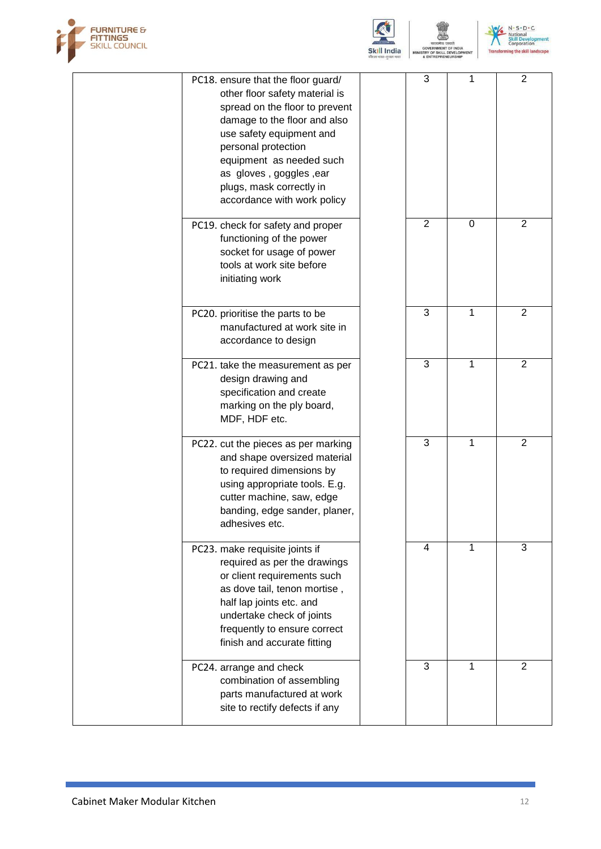



**F SKILL** 

N . S . D . C<br>National<br>Skill Development<br>Transforming the skill landscape

| PC18. ensure that the floor guard/<br>other floor safety material is<br>spread on the floor to prevent<br>damage to the floor and also<br>use safety equipment and<br>personal protection<br>equipment as needed such<br>as gloves, goggles, ear<br>plugs, mask correctly in<br>accordance with work policy | 3              | 1              | $\overline{2}$ |
|-------------------------------------------------------------------------------------------------------------------------------------------------------------------------------------------------------------------------------------------------------------------------------------------------------------|----------------|----------------|----------------|
| PC19. check for safety and proper<br>functioning of the power<br>socket for usage of power<br>tools at work site before<br>initiating work                                                                                                                                                                  | $\overline{2}$ | $\overline{0}$ | 2              |
| PC20. prioritise the parts to be<br>manufactured at work site in<br>accordance to design                                                                                                                                                                                                                    | 3              | 1              | $\overline{2}$ |
| PC21. take the measurement as per<br>design drawing and<br>specification and create<br>marking on the ply board,<br>MDF, HDF etc.                                                                                                                                                                           | 3              | 1              | $\overline{2}$ |
| PC22. cut the pieces as per marking<br>and shape oversized material<br>to required dimensions by<br>using appropriate tools. E.g.<br>cutter machine, saw, edge<br>banding, edge sander, planer,<br>adhesives etc.                                                                                           | 3              | 1              | 2              |
| PC23. make requisite joints if<br>required as per the drawings<br>or client requirements such<br>as dove tail, tenon mortise,<br>half lap joints etc. and<br>undertake check of joints<br>frequently to ensure correct<br>finish and accurate fitting                                                       | 4              | 1              | 3              |
| PC24. arrange and check<br>combination of assembling<br>parts manufactured at work<br>site to rectify defects if any                                                                                                                                                                                        | 3              | 1              | 2              |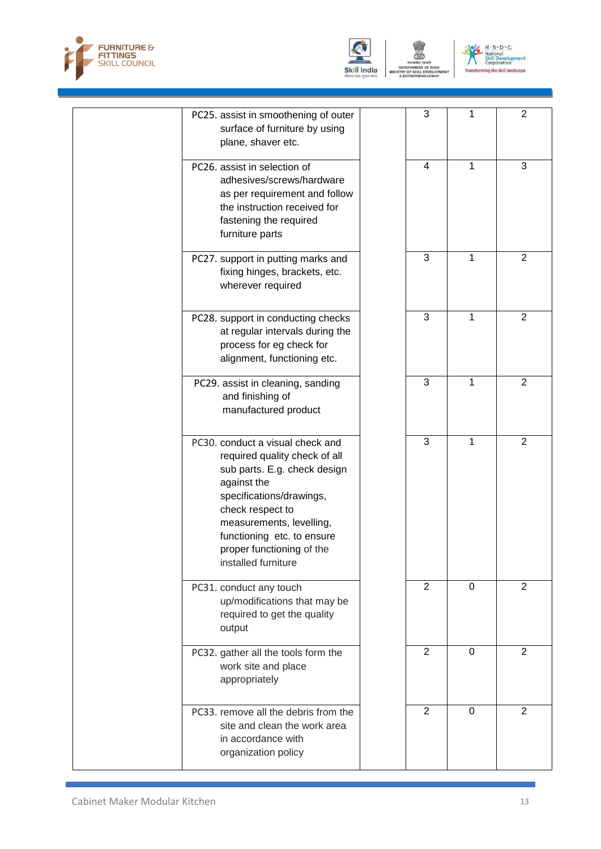



GOVERNMENT (<br>TRY OF SKILL D<br>& ENTREPRENE



| PC25. assist in smoothening of outer<br>surface of furniture by using<br>plane, shaver etc.                                                                                                                                                                                    | 3              | 1        | $\overline{2}$ |
|--------------------------------------------------------------------------------------------------------------------------------------------------------------------------------------------------------------------------------------------------------------------------------|----------------|----------|----------------|
| PC26. assist in selection of<br>adhesives/screws/hardware<br>as per requirement and follow<br>the instruction received for<br>fastening the required<br>furniture parts                                                                                                        | 4              | 1        | 3              |
| PC27. support in putting marks and<br>fixing hinges, brackets, etc.<br>wherever required                                                                                                                                                                                       | 3              | 1        | $\overline{2}$ |
| PC28. support in conducting checks<br>at regular intervals during the<br>process for eg check for<br>alignment, functioning etc.                                                                                                                                               | 3              | 1        | 2              |
| PC29. assist in cleaning, sanding<br>and finishing of<br>manufactured product                                                                                                                                                                                                  | 3              | 1        | $\overline{2}$ |
| PC30. conduct a visual check and<br>required quality check of all<br>sub parts. E.g. check design<br>against the<br>specifications/drawings,<br>check respect to<br>measurements, levelling,<br>functioning etc. to ensure<br>proper functioning of the<br>installed furniture | $\overline{3}$ | 1        | $\overline{2}$ |
| PC31. conduct any touch<br>up/modifications that may be<br>required to get the quality<br>output                                                                                                                                                                               | $\overline{2}$ | $\Omega$ | 2              |
| PC32. gather all the tools form the<br>work site and place<br>appropriately                                                                                                                                                                                                    | $\overline{2}$ | $\Omega$ | 2              |
| PC33. remove all the debris from the<br>site and clean the work area<br>in accordance with<br>organization policy                                                                                                                                                              | $\overline{2}$ | $\Omega$ | $\overline{2}$ |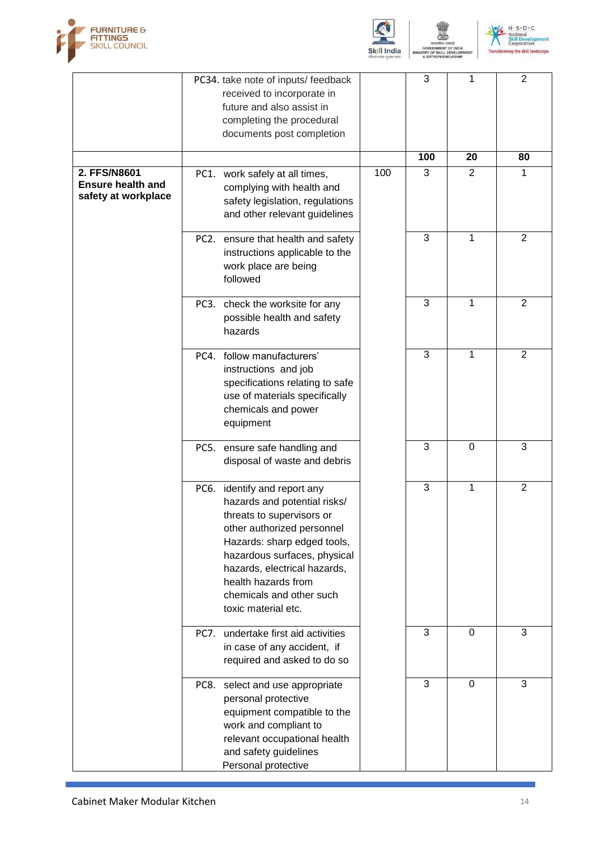





|                                                                 |             | PC34. take note of inputs/feedback<br>received to incorporate in<br>future and also assist in<br>completing the procedural<br>documents post completion                                                                                                                                          |     | 3   | 1              | $\overline{2}$ |
|-----------------------------------------------------------------|-------------|--------------------------------------------------------------------------------------------------------------------------------------------------------------------------------------------------------------------------------------------------------------------------------------------------|-----|-----|----------------|----------------|
|                                                                 |             |                                                                                                                                                                                                                                                                                                  |     | 100 | 20             | 80             |
| 2. FFS/N8601<br><b>Ensure health and</b><br>safety at workplace |             | PC1. work safely at all times,<br>complying with health and<br>safety legislation, regulations<br>and other relevant guidelines                                                                                                                                                                  | 100 | 3   | $\overline{2}$ | 1              |
|                                                                 |             | PC2. ensure that health and safety<br>instructions applicable to the<br>work place are being<br>followed                                                                                                                                                                                         |     | 3   | 1              | $\overline{2}$ |
|                                                                 |             | PC3. check the worksite for any<br>possible health and safety<br>hazards                                                                                                                                                                                                                         |     | 3   | 1              | $\overline{2}$ |
|                                                                 | PC4.        | follow manufacturers'<br>instructions and job<br>specifications relating to safe<br>use of materials specifically<br>chemicals and power<br>equipment                                                                                                                                            |     | 3   | 1              | $\overline{2}$ |
|                                                                 |             | PC5. ensure safe handling and<br>disposal of waste and debris                                                                                                                                                                                                                                    |     | 3   | 0              | 3              |
|                                                                 |             | PC6. identify and report any<br>hazards and potential risks/<br>threats to supervisors or<br>other authorized personnel<br>Hazards: sharp edged tools,<br>hazardous surfaces, physical<br>hazards, electrical hazards,<br>health hazards from<br>chemicals and other such<br>toxic material etc. |     | 3   | 1              | $\overline{2}$ |
|                                                                 | <b>PC7.</b> | undertake first aid activities<br>in case of any accident, if<br>required and asked to do so                                                                                                                                                                                                     |     | 3   | $\Omega$       | 3              |
|                                                                 |             | PC8. select and use appropriate<br>personal protective<br>equipment compatible to the<br>work and compliant to<br>relevant occupational health<br>and safety guidelines<br>Personal protective                                                                                                   |     | 3   | $\mathbf 0$    | 3              |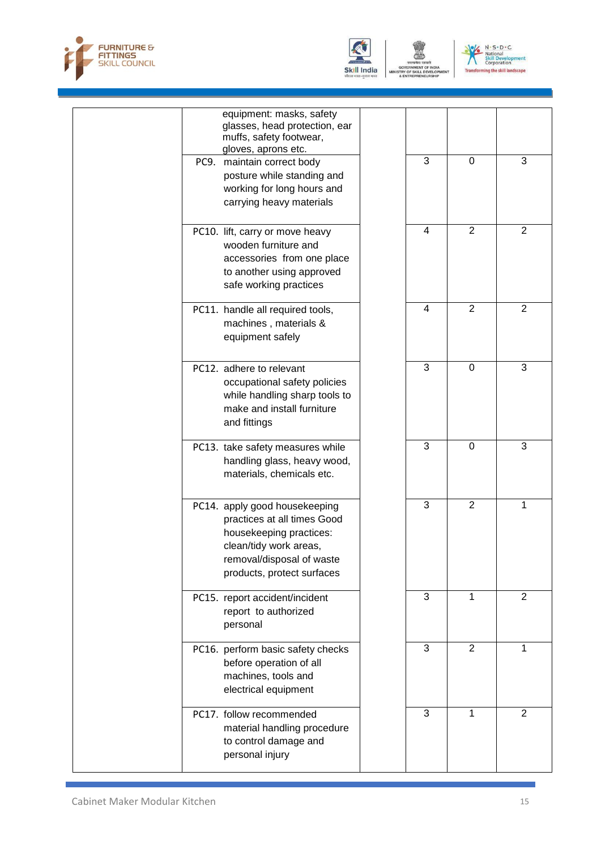



GOVERNMENT O<br>TRY OF SKILL DI<br>& ENTREPRENEI VELO



| equipment: masks, safety<br>glasses, head protection, ear<br>muffs, safety footwear,<br>gloves, aprons etc.<br>3<br>3<br>$\Omega$<br>PC9.<br>maintain correct body<br>posture while standing and<br>working for long hours and<br>carrying heavy materials<br>2<br>4<br>2<br>PC10. lift, carry or move heavy<br>wooden furniture and<br>accessories from one place<br>to another using approved<br>safe working practices<br>$\overline{2}$<br>$\overline{4}$<br>$\overline{2}$<br>PC11. handle all required tools,<br>machines, materials &<br>equipment safely<br>3<br>3<br>$\mathbf 0$<br>PC12. adhere to relevant<br>occupational safety policies<br>while handling sharp tools to<br>make and install furniture<br>and fittings<br>3<br>3<br>$\Omega$<br>PC13. take safety measures while<br>handling glass, heavy wood,<br>materials, chemicals etc.<br>3<br>2<br>1<br>PC14. apply good housekeeping<br>practices at all times Good<br>housekeeping practices:<br>clean/tidy work areas,<br>removal/disposal of waste<br>products, protect surfaces<br>3<br>$\overline{2}$<br>1<br>PC15. report accident/incident<br>report to authorized<br>personal<br>3<br>$\overline{2}$<br>$\mathbf{1}$<br>PC16. perform basic safety checks<br>before operation of all<br>machines, tools and<br>electrical equipment<br>$\overline{3}$<br>1<br>$\overline{2}$<br>PC17. follow recommended<br>material handling procedure<br>to control damage and<br>personal injury |  |  |  |
|-------------------------------------------------------------------------------------------------------------------------------------------------------------------------------------------------------------------------------------------------------------------------------------------------------------------------------------------------------------------------------------------------------------------------------------------------------------------------------------------------------------------------------------------------------------------------------------------------------------------------------------------------------------------------------------------------------------------------------------------------------------------------------------------------------------------------------------------------------------------------------------------------------------------------------------------------------------------------------------------------------------------------------------------------------------------------------------------------------------------------------------------------------------------------------------------------------------------------------------------------------------------------------------------------------------------------------------------------------------------------------------------------------------------------------------------------------------------|--|--|--|
|                                                                                                                                                                                                                                                                                                                                                                                                                                                                                                                                                                                                                                                                                                                                                                                                                                                                                                                                                                                                                                                                                                                                                                                                                                                                                                                                                                                                                                                                   |  |  |  |
|                                                                                                                                                                                                                                                                                                                                                                                                                                                                                                                                                                                                                                                                                                                                                                                                                                                                                                                                                                                                                                                                                                                                                                                                                                                                                                                                                                                                                                                                   |  |  |  |
|                                                                                                                                                                                                                                                                                                                                                                                                                                                                                                                                                                                                                                                                                                                                                                                                                                                                                                                                                                                                                                                                                                                                                                                                                                                                                                                                                                                                                                                                   |  |  |  |
|                                                                                                                                                                                                                                                                                                                                                                                                                                                                                                                                                                                                                                                                                                                                                                                                                                                                                                                                                                                                                                                                                                                                                                                                                                                                                                                                                                                                                                                                   |  |  |  |
|                                                                                                                                                                                                                                                                                                                                                                                                                                                                                                                                                                                                                                                                                                                                                                                                                                                                                                                                                                                                                                                                                                                                                                                                                                                                                                                                                                                                                                                                   |  |  |  |
|                                                                                                                                                                                                                                                                                                                                                                                                                                                                                                                                                                                                                                                                                                                                                                                                                                                                                                                                                                                                                                                                                                                                                                                                                                                                                                                                                                                                                                                                   |  |  |  |
|                                                                                                                                                                                                                                                                                                                                                                                                                                                                                                                                                                                                                                                                                                                                                                                                                                                                                                                                                                                                                                                                                                                                                                                                                                                                                                                                                                                                                                                                   |  |  |  |
|                                                                                                                                                                                                                                                                                                                                                                                                                                                                                                                                                                                                                                                                                                                                                                                                                                                                                                                                                                                                                                                                                                                                                                                                                                                                                                                                                                                                                                                                   |  |  |  |
|                                                                                                                                                                                                                                                                                                                                                                                                                                                                                                                                                                                                                                                                                                                                                                                                                                                                                                                                                                                                                                                                                                                                                                                                                                                                                                                                                                                                                                                                   |  |  |  |
|                                                                                                                                                                                                                                                                                                                                                                                                                                                                                                                                                                                                                                                                                                                                                                                                                                                                                                                                                                                                                                                                                                                                                                                                                                                                                                                                                                                                                                                                   |  |  |  |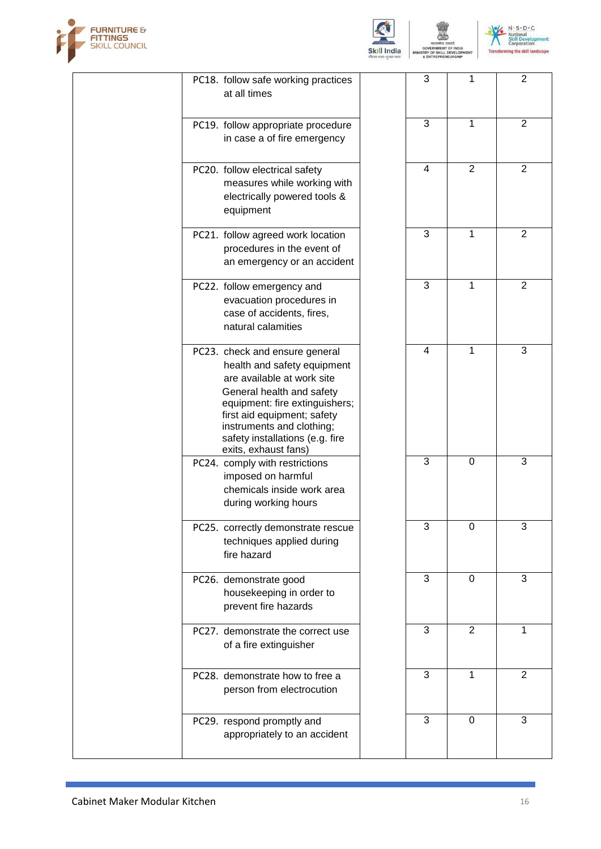



SKIL

N . S . D . C<br>National<br>Skill Development<br>Transforming the skill landscape

|  | PC18. follow safe working practices<br>at all times                                                                                                                                                                                                                               | $\mathbf{3}$ | 1              | $\overline{2}$      |
|--|-----------------------------------------------------------------------------------------------------------------------------------------------------------------------------------------------------------------------------------------------------------------------------------|--------------|----------------|---------------------|
|  | PC19. follow appropriate procedure<br>in case a of fire emergency                                                                                                                                                                                                                 | 3            | 1              | $\overline{2}$      |
|  | PC20. follow electrical safety<br>measures while working with<br>electrically powered tools &<br>equipment                                                                                                                                                                        | 4            | $\overline{2}$ | $\overline{2}$      |
|  | PC21. follow agreed work location<br>procedures in the event of<br>an emergency or an accident                                                                                                                                                                                    | 3            | 1              | $\overline{2}$      |
|  | PC22. follow emergency and<br>evacuation procedures in<br>case of accidents, fires,<br>natural calamities                                                                                                                                                                         | 3            | 1              | $\overline{2}$      |
|  | PC23. check and ensure general<br>health and safety equipment<br>are available at work site<br>General health and safety<br>equipment: fire extinguishers;<br>first aid equipment; safety<br>instruments and clothing;<br>safety installations (e.g. fire<br>exits, exhaust fans) | 4            | 1              | 3                   |
|  | PC24. comply with restrictions<br>imposed on harmful<br>chemicals inside work area<br>during working hours                                                                                                                                                                        | 3            | $\mathbf 0$    | 3                   |
|  | PC25. correctly demonstrate rescue<br>techniques applied during<br>fire hazard                                                                                                                                                                                                    | 3            | 0              | 3                   |
|  | PC26. demonstrate good<br>housekeeping in order to<br>prevent fire hazards                                                                                                                                                                                                        | 3            | $\mathbf 0$    | $\overline{\omega}$ |
|  | PC27. demonstrate the correct use<br>of a fire extinguisher                                                                                                                                                                                                                       | 3            | $\overline{2}$ | $\mathbf{1}$        |
|  | PC28. demonstrate how to free a<br>person from electrocution                                                                                                                                                                                                                      | 3            | 1              | $\overline{2}$      |
|  | PC29. respond promptly and<br>appropriately to an accident                                                                                                                                                                                                                        | 3            | 0              | 3                   |
|  |                                                                                                                                                                                                                                                                                   |              |                |                     |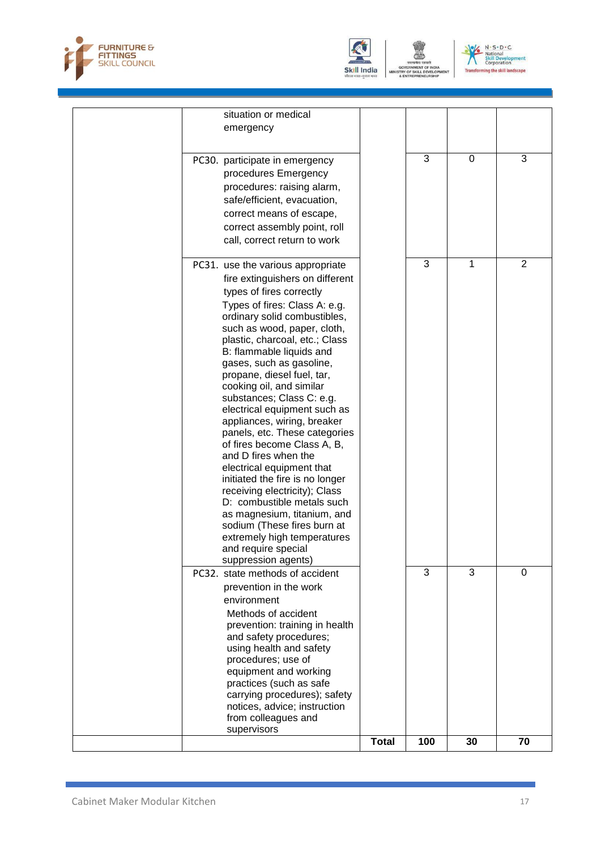



GOVERNMENT O<br>TRY OF SKILL DI<br>& ENTREPRENEI VELO N . S . D . C<br>National<br>Skill Development<br>Transforming the skill landscape

| situation or medical<br>emergency                                                                                                                                                                                                                                                                                                                                                                                                                                                                                                                                                                                                                                                                                                                                                                                  |              |              |                |                |
|--------------------------------------------------------------------------------------------------------------------------------------------------------------------------------------------------------------------------------------------------------------------------------------------------------------------------------------------------------------------------------------------------------------------------------------------------------------------------------------------------------------------------------------------------------------------------------------------------------------------------------------------------------------------------------------------------------------------------------------------------------------------------------------------------------------------|--------------|--------------|----------------|----------------|
| PC30. participate in emergency<br>procedures Emergency<br>procedures: raising alarm,<br>safe/efficient, evacuation,<br>correct means of escape,<br>correct assembly point, roll<br>call, correct return to work                                                                                                                                                                                                                                                                                                                                                                                                                                                                                                                                                                                                    |              | $\mathbf{3}$ | 0              | 3              |
| PC31. use the various appropriate<br>fire extinguishers on different<br>types of fires correctly<br>Types of fires: Class A: e.g.<br>ordinary solid combustibles,<br>such as wood, paper, cloth,<br>plastic, charcoal, etc.; Class<br>B: flammable liquids and<br>gases, such as gasoline,<br>propane, diesel fuel, tar,<br>cooking oil, and similar<br>substances; Class C: e.g.<br>electrical equipment such as<br>appliances, wiring, breaker<br>panels, etc. These categories<br>of fires become Class A, B,<br>and D fires when the<br>electrical equipment that<br>initiated the fire is no longer<br>receiving electricity); Class<br>D: combustible metals such<br>as magnesium, titanium, and<br>sodium (These fires burn at<br>extremely high temperatures<br>and require special<br>suppression agents) |              | 3            | 1              | $\overline{2}$ |
| PC32. state methods of accident<br>prevention in the work<br>environment<br>Methods of accident<br>prevention: training in health<br>and safety procedures;<br>using health and safety<br>procedures; use of<br>equipment and working<br>practices (such as safe<br>carrying procedures); safety<br>notices, advice; instruction<br>from colleagues and<br>supervisors                                                                                                                                                                                                                                                                                                                                                                                                                                             |              | 3            | $\overline{3}$ | 0              |
|                                                                                                                                                                                                                                                                                                                                                                                                                                                                                                                                                                                                                                                                                                                                                                                                                    | <b>Total</b> | 100          | 30             | 70             |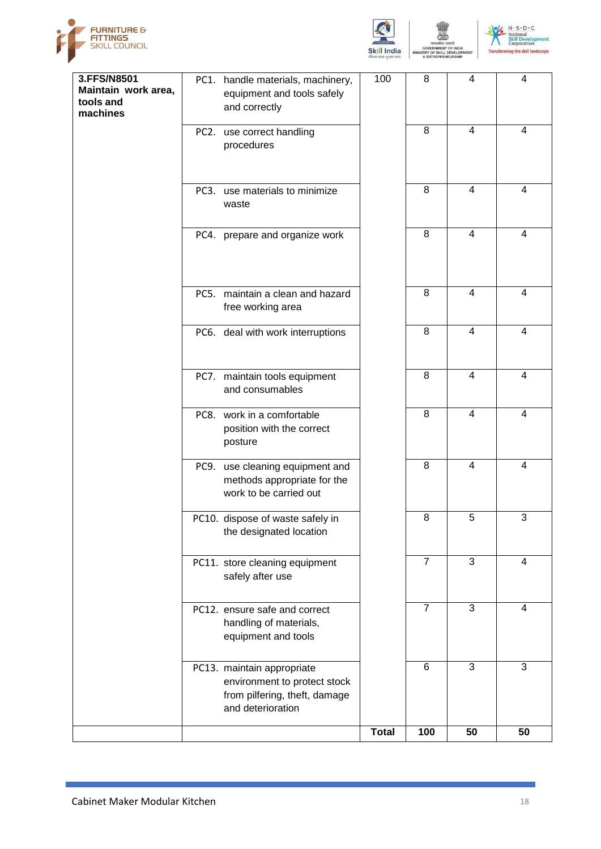





| 3.FFS/N8501<br>Maintain work area,<br>tools and | PC1. handle materials, machinery,<br>equipment and tools safely<br>and correctly                                 | 100          | 8              | 4              | 4              |
|-------------------------------------------------|------------------------------------------------------------------------------------------------------------------|--------------|----------------|----------------|----------------|
| machines                                        | PC2. use correct handling<br>procedures                                                                          |              | 8              | $\overline{4}$ | 4              |
|                                                 | PC3. use materials to minimize                                                                                   |              | 8              | 4              | 4              |
|                                                 | waste                                                                                                            |              |                |                |                |
|                                                 | PC4. prepare and organize work                                                                                   |              | 8              | $\overline{4}$ | $\overline{4}$ |
|                                                 | PC5. maintain a clean and hazard<br>free working area                                                            |              | 8              | 4              | 4              |
|                                                 | PC6. deal with work interruptions                                                                                |              | 8              | $\overline{4}$ | 4              |
|                                                 | PC7. maintain tools equipment<br>and consumables                                                                 |              | 8              | $\overline{4}$ | 4              |
|                                                 | PC8. work in a comfortable<br>position with the correct<br>posture                                               |              | 8              | 4              | 4              |
|                                                 | PC9. use cleaning equipment and<br>methods appropriate for the<br>work to be carried out                         |              | 8              | $\overline{4}$ | 4              |
|                                                 | PC10. dispose of waste safely in<br>the designated location                                                      |              | 8              | 5              | 3              |
|                                                 | PC11. store cleaning equipment<br>safely after use                                                               |              | $\overline{7}$ | 3              | 4              |
|                                                 | PC12. ensure safe and correct<br>handling of materials,<br>equipment and tools                                   |              | $\overline{7}$ | 3              | 4              |
|                                                 | PC13. maintain appropriate<br>environment to protect stock<br>from pilfering, theft, damage<br>and deterioration |              | 6              | 3              | 3              |
|                                                 |                                                                                                                  | <b>Total</b> | 100            | 50             | 50             |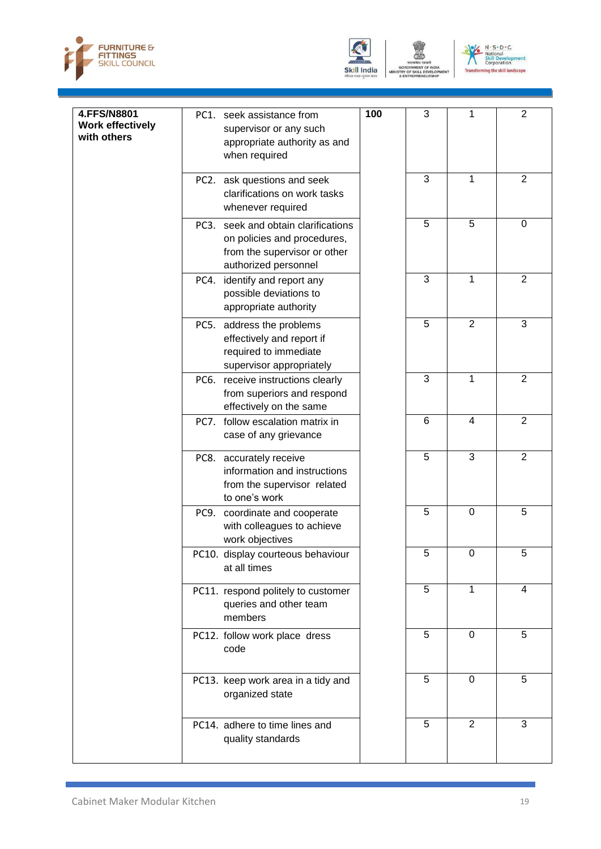



GOVERNMENT (<br>TRY OF SKILL D<br>& ENTREPRENE



| 4.FFS/N8801<br><b>Work effectively</b><br>with others |      | PC1. seek assistance from<br>supervisor or any such<br>appropriate authority as and<br>when required                  | 100 | 3              | 1              | $\overline{2}$   |
|-------------------------------------------------------|------|-----------------------------------------------------------------------------------------------------------------------|-----|----------------|----------------|------------------|
|                                                       |      | PC2. ask questions and seek<br>clarifications on work tasks<br>whenever required                                      |     | 3              | 1              | $\overline{2}$   |
|                                                       | PC3. | seek and obtain clarifications<br>on policies and procedures,<br>from the supervisor or other<br>authorized personnel |     | 5              | 5              | $\boldsymbol{0}$ |
|                                                       | PC4. | identify and report any<br>possible deviations to<br>appropriate authority                                            |     | 3              | 1              | $\overline{2}$   |
|                                                       |      | PC5. address the problems<br>effectively and report if<br>required to immediate<br>supervisor appropriately           |     | 5              | $\overline{2}$ | 3                |
|                                                       |      | PC6. receive instructions clearly<br>from superiors and respond<br>effectively on the same                            |     | 3              | 1              | $\overline{2}$   |
|                                                       |      | PC7. follow escalation matrix in<br>case of any grievance                                                             |     | 6              | $\overline{4}$ | $\overline{2}$   |
|                                                       |      | PC8. accurately receive<br>information and instructions<br>from the supervisor related<br>to one's work               |     | 5              | 3              | $\overline{2}$   |
|                                                       |      | PC9. coordinate and cooperate<br>with colleagues to achieve<br>work objectives                                        |     | 5              | $\mathbf 0$    | 5                |
|                                                       |      | PC10. display courteous behaviour<br>at all times                                                                     |     | 5              | $\Omega$       | 5                |
|                                                       |      | PC11. respond politely to customer<br>queries and other team<br>members                                               |     | 5              | 1              | 4                |
|                                                       |      | PC12. follow work place dress<br>code                                                                                 |     | 5              | $\overline{0}$ | 5                |
|                                                       |      | PC13. keep work area in a tidy and<br>organized state                                                                 |     | $\overline{5}$ | 0              | 5                |
|                                                       |      | PC14. adhere to time lines and<br>quality standards                                                                   |     | $\overline{5}$ | $\overline{2}$ | 3                |